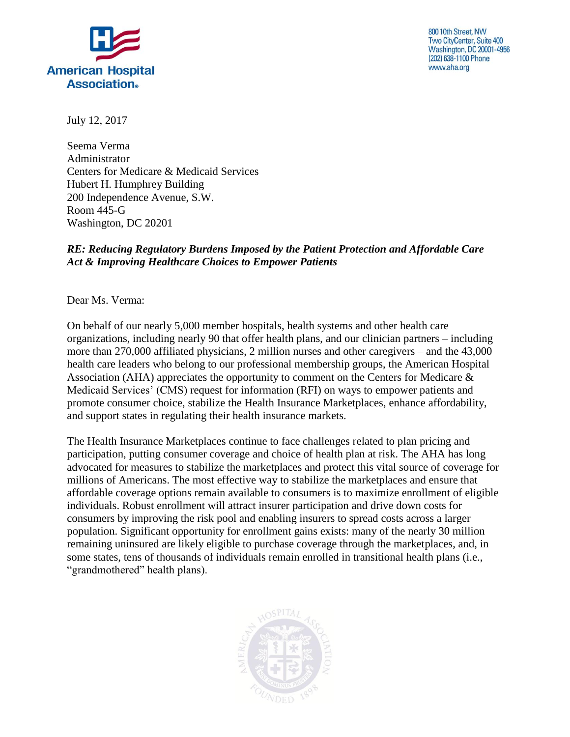

800 10th Street, NW Two CityCenter, Suite 400 **Washington, DC 20001-4956** (202) 638-1100 Phone www.aha.org

July 12, 2017

Seema Verma Administrator Centers for Medicare & Medicaid Services Hubert H. Humphrey Building 200 Independence Avenue, S.W. Room 445-G Washington, DC 20201

## *RE: Reducing Regulatory Burdens Imposed by the Patient Protection and Affordable Care Act & Improving Healthcare Choices to Empower Patients*

Dear Ms. Verma:

On behalf of our nearly 5,000 member hospitals, health systems and other health care organizations, including nearly 90 that offer health plans, and our clinician partners – including more than 270,000 affiliated physicians, 2 million nurses and other caregivers – and the 43,000 health care leaders who belong to our professional membership groups, the American Hospital Association (AHA) appreciates the opportunity to comment on the Centers for Medicare & Medicaid Services' (CMS) request for information (RFI) on ways to empower patients and promote consumer choice, stabilize the Health Insurance Marketplaces, enhance affordability, and support states in regulating their health insurance markets.

The Health Insurance Marketplaces continue to face challenges related to plan pricing and participation, putting consumer coverage and choice of health plan at risk. The AHA has long advocated for measures to stabilize the marketplaces and protect this vital source of coverage for millions of Americans. The most effective way to stabilize the marketplaces and ensure that affordable coverage options remain available to consumers is to maximize enrollment of eligible individuals. Robust enrollment will attract insurer participation and drive down costs for consumers by improving the risk pool and enabling insurers to spread costs across a larger population. Significant opportunity for enrollment gains exists: many of the nearly 30 million remaining uninsured are likely eligible to purchase coverage through the marketplaces, and, in some states, tens of thousands of individuals remain enrolled in transitional health plans (i.e., "grandmothered" health plans).

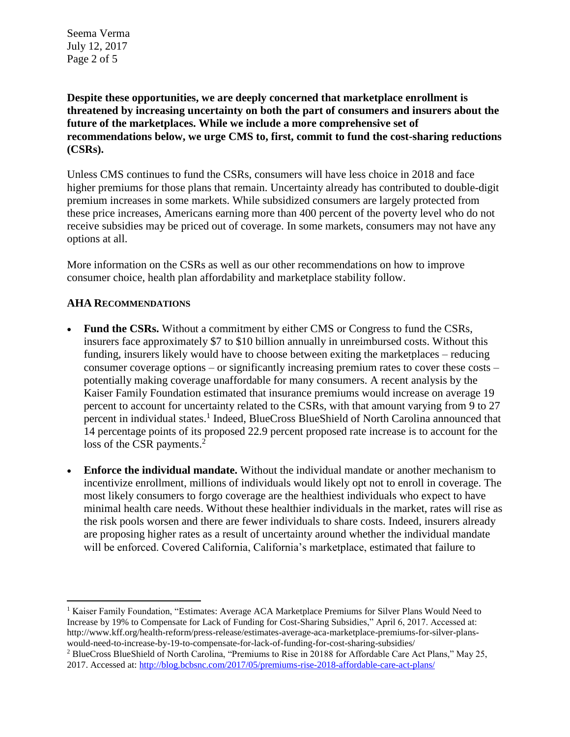Seema Verma July 12, 2017 Page 2 of 5

**Despite these opportunities, we are deeply concerned that marketplace enrollment is threatened by increasing uncertainty on both the part of consumers and insurers about the future of the marketplaces. While we include a more comprehensive set of recommendations below, we urge CMS to, first, commit to fund the cost-sharing reductions (CSRs).** 

Unless CMS continues to fund the CSRs, consumers will have less choice in 2018 and face higher premiums for those plans that remain. Uncertainty already has contributed to double-digit premium increases in some markets. While subsidized consumers are largely protected from these price increases, Americans earning more than 400 percent of the poverty level who do not receive subsidies may be priced out of coverage. In some markets, consumers may not have any options at all.

More information on the CSRs as well as our other recommendations on how to improve consumer choice, health plan affordability and marketplace stability follow.

## **AHA RECOMMENDATIONS**

 $\overline{a}$ 

- **Fund the CSRs.** Without a commitment by either CMS or Congress to fund the CSRs, insurers face approximately \$7 to \$10 billion annually in unreimbursed costs. Without this funding, insurers likely would have to choose between exiting the marketplaces – reducing consumer coverage options – or significantly increasing premium rates to cover these costs – potentially making coverage unaffordable for many consumers. A recent analysis by the Kaiser Family Foundation estimated that insurance premiums would increase on average 19 percent to account for uncertainty related to the CSRs, with that amount varying from 9 to 27 percent in individual states.<sup>1</sup> Indeed, BlueCross BlueShield of North Carolina announced that 14 percentage points of its proposed 22.9 percent proposed rate increase is to account for the loss of the CSR payments.<sup>2</sup>
- **Enforce the individual mandate.** Without the individual mandate or another mechanism to incentivize enrollment, millions of individuals would likely opt not to enroll in coverage. The most likely consumers to forgo coverage are the healthiest individuals who expect to have minimal health care needs. Without these healthier individuals in the market, rates will rise as the risk pools worsen and there are fewer individuals to share costs. Indeed, insurers already are proposing higher rates as a result of uncertainty around whether the individual mandate will be enforced. Covered California, California's marketplace, estimated that failure to

<sup>&</sup>lt;sup>1</sup> Kaiser Family Foundation, "Estimates: Average ACA Marketplace Premiums for Silver Plans Would Need to Increase by 19% to Compensate for Lack of Funding for Cost-Sharing Subsidies," April 6, 2017. Accessed at: http://www.kff.org/health-reform/press-release/estimates-average-aca-marketplace-premiums-for-silver-planswould-need-to-increase-by-19-to-compensate-for-lack-of-funding-for-cost-sharing-subsidies/

<sup>2</sup> BlueCross BlueShield of North Carolina, "Premiums to Rise in 20188 for Affordable Care Act Plans," May 25, 2017. Accessed at:<http://blog.bcbsnc.com/2017/05/premiums-rise-2018-affordable-care-act-plans/>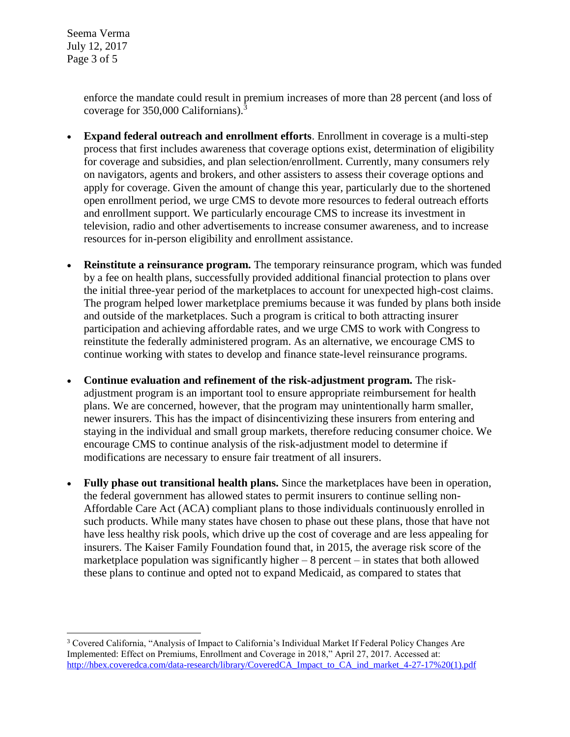Seema Verma July 12, 2017 Page 3 of 5

 $\overline{a}$ 

enforce the mandate could result in premium increases of more than 28 percent (and loss of coverage for 350,000 Californians).<sup>3</sup>

- **Expand federal outreach and enrollment efforts**. Enrollment in coverage is a multi-step process that first includes awareness that coverage options exist, determination of eligibility for coverage and subsidies, and plan selection/enrollment. Currently, many consumers rely on navigators, agents and brokers, and other assisters to assess their coverage options and apply for coverage. Given the amount of change this year, particularly due to the shortened open enrollment period, we urge CMS to devote more resources to federal outreach efforts and enrollment support. We particularly encourage CMS to increase its investment in television, radio and other advertisements to increase consumer awareness, and to increase resources for in-person eligibility and enrollment assistance.
- **Reinstitute a reinsurance program.** The temporary reinsurance program, which was funded by a fee on health plans, successfully provided additional financial protection to plans over the initial three-year period of the marketplaces to account for unexpected high-cost claims. The program helped lower marketplace premiums because it was funded by plans both inside and outside of the marketplaces. Such a program is critical to both attracting insurer participation and achieving affordable rates, and we urge CMS to work with Congress to reinstitute the federally administered program. As an alternative, we encourage CMS to continue working with states to develop and finance state-level reinsurance programs.
- **Continue evaluation and refinement of the risk-adjustment program.** The riskadjustment program is an important tool to ensure appropriate reimbursement for health plans. We are concerned, however, that the program may unintentionally harm smaller, newer insurers. This has the impact of disincentivizing these insurers from entering and staying in the individual and small group markets, therefore reducing consumer choice. We encourage CMS to continue analysis of the risk-adjustment model to determine if modifications are necessary to ensure fair treatment of all insurers.
- **Fully phase out transitional health plans.** Since the marketplaces have been in operation, the federal government has allowed states to permit insurers to continue selling non-Affordable Care Act (ACA) compliant plans to those individuals continuously enrolled in such products. While many states have chosen to phase out these plans, those that have not have less healthy risk pools, which drive up the cost of coverage and are less appealing for insurers. The Kaiser Family Foundation found that, in 2015, the average risk score of the marketplace population was significantly higher  $-8$  percent  $-$  in states that both allowed these plans to continue and opted not to expand Medicaid, as compared to states that

<sup>3</sup> Covered California, "Analysis of Impact to California's Individual Market If Federal Policy Changes Are Implemented: Effect on Premiums, Enrollment and Coverage in 2018," April 27, 2017. Accessed at: [http://hbex.coveredca.com/data-research/library/CoveredCA\\_Impact\\_to\\_CA\\_ind\\_market\\_4-27-17%20\(1\).pdf](http://hbex.coveredca.com/data-research/library/CoveredCA_Impact_to_CA_ind_market_4-27-17%20(1).pdf)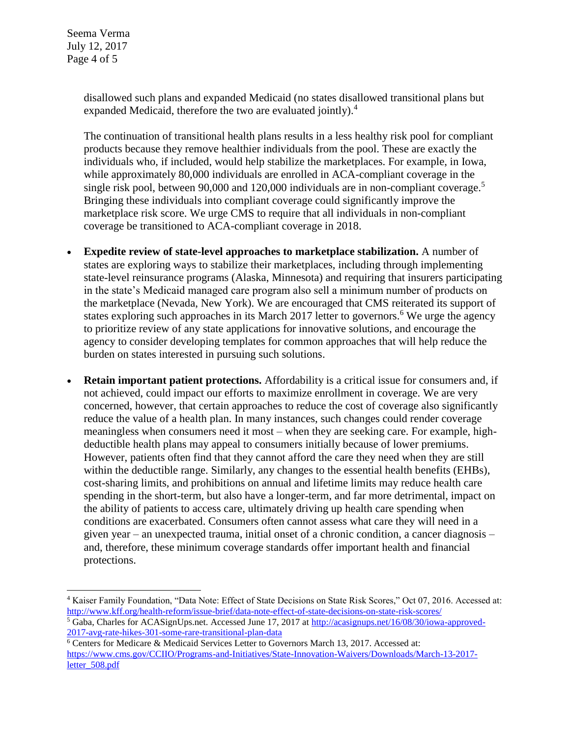$\overline{a}$ 

disallowed such plans and expanded Medicaid (no states disallowed transitional plans but expanded Medicaid, therefore the two are evaluated jointly).<sup>4</sup>

The continuation of transitional health plans results in a less healthy risk pool for compliant products because they remove healthier individuals from the pool. These are exactly the individuals who, if included, would help stabilize the marketplaces. For example, in Iowa, while approximately 80,000 individuals are enrolled in ACA-compliant coverage in the single risk pool, between 90,000 and 120,000 individuals are in non-compliant coverage.<sup>5</sup> Bringing these individuals into compliant coverage could significantly improve the marketplace risk score. We urge CMS to require that all individuals in non-compliant coverage be transitioned to ACA-compliant coverage in 2018.

- **Expedite review of state-level approaches to marketplace stabilization.** A number of states are exploring ways to stabilize their marketplaces, including through implementing state-level reinsurance programs (Alaska, Minnesota) and requiring that insurers participating in the state's Medicaid managed care program also sell a minimum number of products on the marketplace (Nevada, New York). We are encouraged that CMS reiterated its support of states exploring such approaches in its March 2017 letter to governors.<sup>6</sup> We urge the agency to prioritize review of any state applications for innovative solutions, and encourage the agency to consider developing templates for common approaches that will help reduce the burden on states interested in pursuing such solutions.
- **Retain important patient protections.** Affordability is a critical issue for consumers and, if not achieved, could impact our efforts to maximize enrollment in coverage. We are very concerned, however, that certain approaches to reduce the cost of coverage also significantly reduce the value of a health plan. In many instances, such changes could render coverage meaningless when consumers need it most – when they are seeking care. For example, highdeductible health plans may appeal to consumers initially because of lower premiums. However, patients often find that they cannot afford the care they need when they are still within the deductible range. Similarly, any changes to the essential health benefits (EHBs), cost-sharing limits, and prohibitions on annual and lifetime limits may reduce health care spending in the short-term, but also have a longer-term, and far more detrimental, impact on the ability of patients to access care, ultimately driving up health care spending when conditions are exacerbated. Consumers often cannot assess what care they will need in a given year – an unexpected trauma, initial onset of a chronic condition, a cancer diagnosis – and, therefore, these minimum coverage standards offer important health and financial protections.

<sup>4</sup> Kaiser Family Foundation, "Data Note: Effect of State Decisions on State Risk Scores," Oct 07, 2016. Accessed at: <http://www.kff.org/health-reform/issue-brief/data-note-effect-of-state-decisions-on-state-risk-scores/>

<sup>5</sup> Gaba, Charles for ACASignUps.net. Accessed June 17, 2017 a[t http://acasignups.net/16/08/30/iowa-approved-](http://acasignups.net/16/08/30/iowa-approved-2017-avg-rate-hikes-301-some-rare-transitional-plan-data)[2017-avg-rate-hikes-301-some-rare-transitional-plan-data](http://acasignups.net/16/08/30/iowa-approved-2017-avg-rate-hikes-301-some-rare-transitional-plan-data)

<sup>6</sup> Centers for Medicare & Medicaid Services Letter to Governors March 13, 2017. Accessed at: [https://www.cms.gov/CCIIO/Programs-and-Initiatives/State-Innovation-Waivers/Downloads/March-13-2017](https://www.cms.gov/CCIIO/Programs-and-Initiatives/State-Innovation-Waivers/Downloads/March-13-2017-letter_508.pdf) [letter\\_508.pdf](https://www.cms.gov/CCIIO/Programs-and-Initiatives/State-Innovation-Waivers/Downloads/March-13-2017-letter_508.pdf)